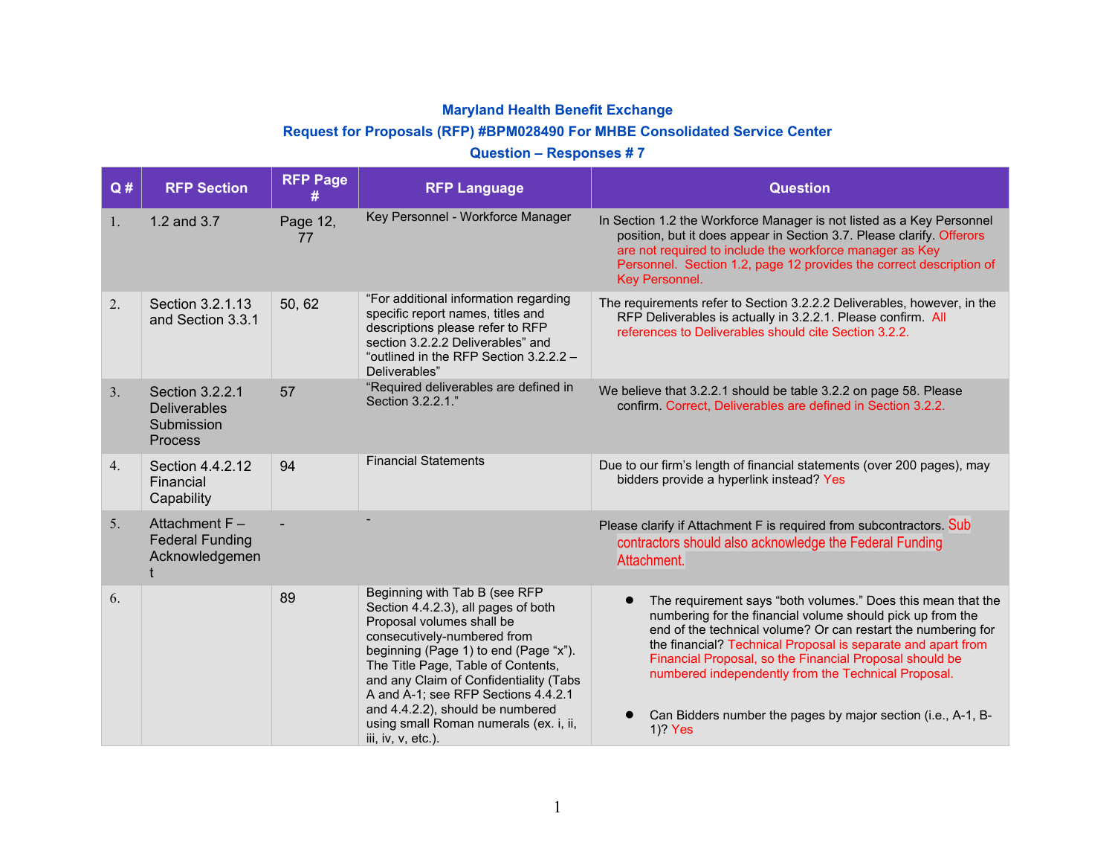## **Maryland Health Benefit Exchange**

## **Request for Proposals (RFP) #BPM028490 For MHBE Consolidated Service Center**

## **Question – Responses # 7**

| Q# | <b>RFP Section</b>                                              | <b>RFP Page</b> | <b>RFP Language</b>                                                                                                                                                                                                                                                                                                                                                                                  | <b>Question</b>                                                                                                                                                                                                                                                                                                                                                                                                                                                       |
|----|-----------------------------------------------------------------|-----------------|------------------------------------------------------------------------------------------------------------------------------------------------------------------------------------------------------------------------------------------------------------------------------------------------------------------------------------------------------------------------------------------------------|-----------------------------------------------------------------------------------------------------------------------------------------------------------------------------------------------------------------------------------------------------------------------------------------------------------------------------------------------------------------------------------------------------------------------------------------------------------------------|
| 1. | 1.2 and 3.7                                                     | Page 12,<br>77  | Key Personnel - Workforce Manager                                                                                                                                                                                                                                                                                                                                                                    | In Section 1.2 the Workforce Manager is not listed as a Key Personnel<br>position, but it does appear in Section 3.7. Please clarify. Offerors<br>are not required to include the workforce manager as Key<br>Personnel. Section 1.2, page 12 provides the correct description of<br>Key Personnel.                                                                                                                                                                   |
| 2. | Section 3.2.1.13<br>and Section 3.3.1                           | 50, 62          | "For additional information regarding<br>specific report names, titles and<br>descriptions please refer to RFP<br>section 3.2.2.2 Deliverables" and<br>"outlined in the RFP Section 3.2.2.2 -<br>Deliverables"                                                                                                                                                                                       | The requirements refer to Section 3.2.2.2 Deliverables, however, in the<br>RFP Deliverables is actually in 3.2.2.1. Please confirm. All<br>references to Deliverables should cite Section 3.2.2.                                                                                                                                                                                                                                                                      |
| 3. | Section 3.2.2.1<br><b>Deliverables</b><br>Submission<br>Process | 57              | "Required deliverables are defined in<br>Section 3.2.2.1."                                                                                                                                                                                                                                                                                                                                           | We believe that 3.2.2.1 should be table 3.2.2 on page 58. Please<br>confirm. Correct, Deliverables are defined in Section 3.2.2.                                                                                                                                                                                                                                                                                                                                      |
| 4. | Section 4.4.2.12<br>Financial<br>Capability                     | 94              | <b>Financial Statements</b>                                                                                                                                                                                                                                                                                                                                                                          | Due to our firm's length of financial statements (over 200 pages), may<br>bidders provide a hyperlink instead? Yes                                                                                                                                                                                                                                                                                                                                                    |
| 5. | Attachment F-<br><b>Federal Funding</b><br>Acknowledgemen       |                 |                                                                                                                                                                                                                                                                                                                                                                                                      | Please clarify if Attachment F is required from subcontractors. Sub<br>contractors should also acknowledge the Federal Funding<br>Attachment.                                                                                                                                                                                                                                                                                                                         |
| 6. |                                                                 | 89              | Beginning with Tab B (see RFP<br>Section 4.4.2.3), all pages of both<br>Proposal volumes shall be<br>consecutively-numbered from<br>beginning (Page 1) to end (Page "x").<br>The Title Page, Table of Contents,<br>and any Claim of Confidentiality (Tabs<br>A and A-1; see RFP Sections 4.4.2.1<br>and 4.4.2.2), should be numbered<br>using small Roman numerals (ex. i, ii,<br>iii, iv, v, etc.). | The requirement says "both volumes." Does this mean that the<br>$\bullet$<br>numbering for the financial volume should pick up from the<br>end of the technical volume? Or can restart the numbering for<br>the financial? Technical Proposal is separate and apart from<br>Financial Proposal, so the Financial Proposal should be<br>numbered independently from the Technical Proposal.<br>Can Bidders number the pages by major section (i.e., A-1, B-<br>1)? Yes |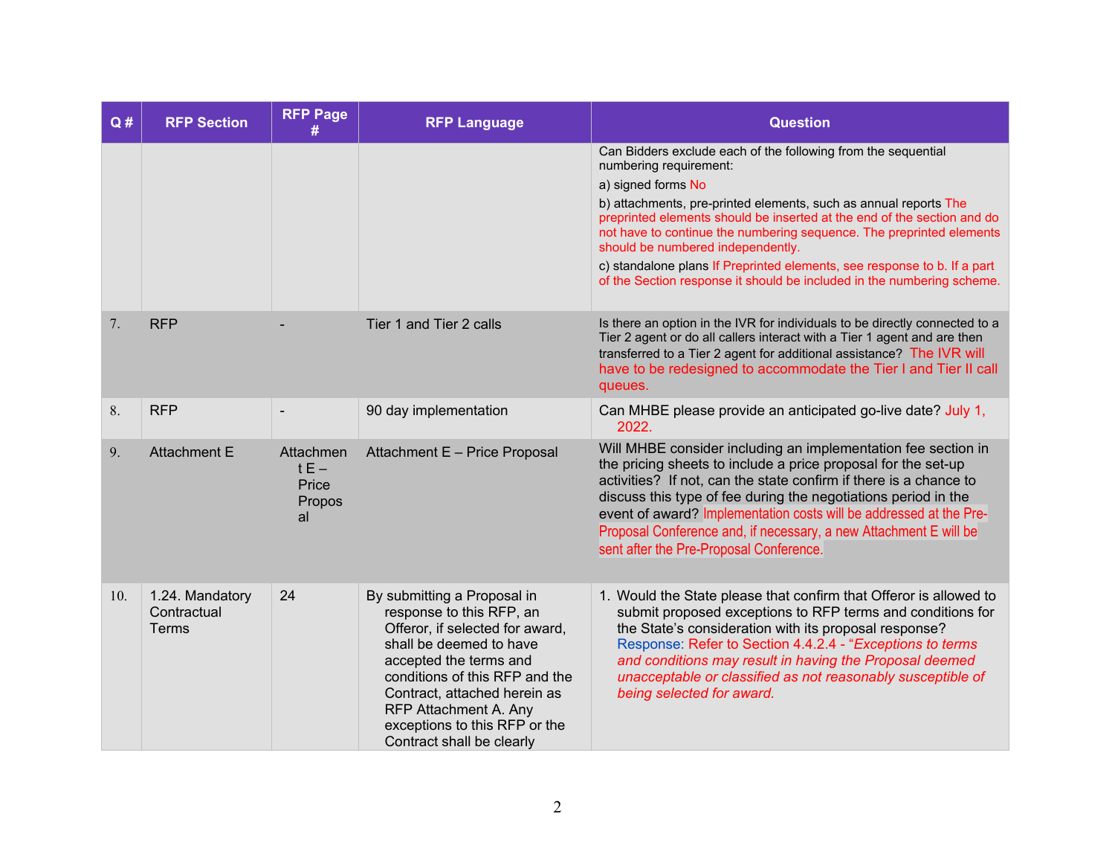| Q#  | <b>RFP Section</b>                             | <b>RFP Page</b><br>#                         | <b>RFP Language</b>                                                                                                                                                                                                                                                                                      | <b>Question</b>                                                                                                                                                                                                                                                                                                                                                                                                                                                                                                                 |
|-----|------------------------------------------------|----------------------------------------------|----------------------------------------------------------------------------------------------------------------------------------------------------------------------------------------------------------------------------------------------------------------------------------------------------------|---------------------------------------------------------------------------------------------------------------------------------------------------------------------------------------------------------------------------------------------------------------------------------------------------------------------------------------------------------------------------------------------------------------------------------------------------------------------------------------------------------------------------------|
|     |                                                |                                              |                                                                                                                                                                                                                                                                                                          | Can Bidders exclude each of the following from the sequential<br>numbering requirement:<br>a) signed forms No<br>b) attachments, pre-printed elements, such as annual reports The<br>preprinted elements should be inserted at the end of the section and do<br>not have to continue the numbering sequence. The preprinted elements<br>should be numbered independently.<br>c) standalone plans If Preprinted elements, see response to b. If a part<br>of the Section response it should be included in the numbering scheme. |
| 7.  | <b>RFP</b>                                     |                                              | Tier 1 and Tier 2 calls                                                                                                                                                                                                                                                                                  | Is there an option in the IVR for individuals to be directly connected to a<br>Tier 2 agent or do all callers interact with a Tier 1 agent and are then<br>transferred to a Tier 2 agent for additional assistance? The IVR will<br>have to be redesigned to accommodate the Tier I and Tier II call<br>queues.                                                                                                                                                                                                                 |
| 8.  | <b>RFP</b>                                     | $\blacksquare$                               | 90 day implementation                                                                                                                                                                                                                                                                                    | Can MHBE please provide an anticipated go-live date? July 1,<br>2022.                                                                                                                                                                                                                                                                                                                                                                                                                                                           |
| 9.  | <b>Attachment E</b>                            | Attachmen<br>$tE -$<br>Price<br>Propos<br>al | Attachment E - Price Proposal                                                                                                                                                                                                                                                                            | Will MHBE consider including an implementation fee section in<br>the pricing sheets to include a price proposal for the set-up<br>activities? If not, can the state confirm if there is a chance to<br>discuss this type of fee during the negotiations period in the<br>event of award? Implementation costs will be addressed at the Pre-<br>Proposal Conference and, if necessary, a new Attachment E will be<br>sent after the Pre-Proposal Conference.                                                                     |
| 10. | 1.24. Mandatory<br>Contractual<br><b>Terms</b> | 24                                           | By submitting a Proposal in<br>response to this RFP, an<br>Offeror, if selected for award,<br>shall be deemed to have<br>accepted the terms and<br>conditions of this RFP and the<br>Contract, attached herein as<br>RFP Attachment A. Any<br>exceptions to this RFP or the<br>Contract shall be clearly | 1. Would the State please that confirm that Offeror is allowed to<br>submit proposed exceptions to RFP terms and conditions for<br>the State's consideration with its proposal response?<br>Response: Refer to Section 4.4.2.4 - "Exceptions to terms<br>and conditions may result in having the Proposal deemed<br>unacceptable or classified as not reasonably susceptible of<br>being selected for award.                                                                                                                    |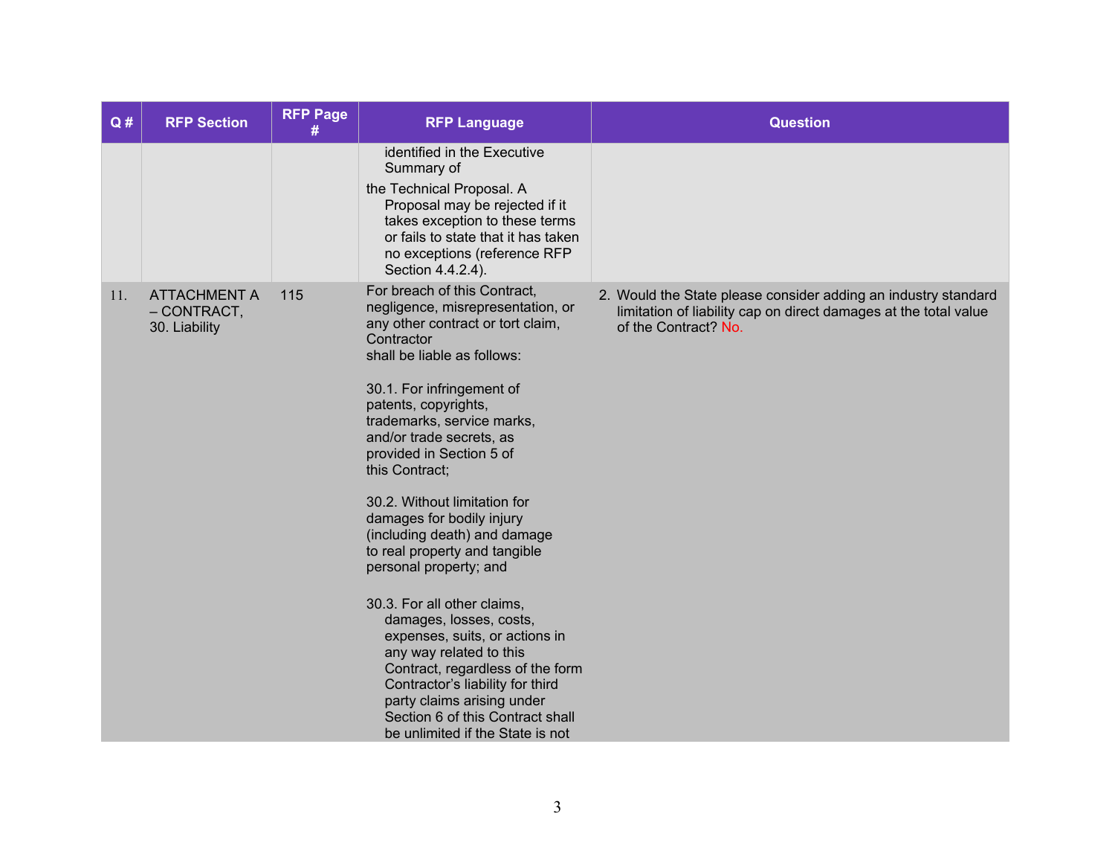| Q#  | <b>RFP Section</b>                                  | <b>RFP Page</b><br># | <b>RFP Language</b>                                                                                                                                                                                                                                                                                                                                                                                                                                                                                                                                                                                                                                                                                                                                                           | <b>Question</b>                                                                                                                                            |
|-----|-----------------------------------------------------|----------------------|-------------------------------------------------------------------------------------------------------------------------------------------------------------------------------------------------------------------------------------------------------------------------------------------------------------------------------------------------------------------------------------------------------------------------------------------------------------------------------------------------------------------------------------------------------------------------------------------------------------------------------------------------------------------------------------------------------------------------------------------------------------------------------|------------------------------------------------------------------------------------------------------------------------------------------------------------|
|     |                                                     |                      | identified in the Executive<br>Summary of<br>the Technical Proposal. A<br>Proposal may be rejected if it<br>takes exception to these terms<br>or fails to state that it has taken<br>no exceptions (reference RFP<br>Section 4.4.2.4).                                                                                                                                                                                                                                                                                                                                                                                                                                                                                                                                        |                                                                                                                                                            |
| 11. | <b>ATTACHMENT A</b><br>- CONTRACT,<br>30. Liability | 115                  | For breach of this Contract,<br>negligence, misrepresentation, or<br>any other contract or tort claim,<br>Contractor<br>shall be liable as follows:<br>30.1. For infringement of<br>patents, copyrights,<br>trademarks, service marks,<br>and/or trade secrets, as<br>provided in Section 5 of<br>this Contract;<br>30.2. Without limitation for<br>damages for bodily injury<br>(including death) and damage<br>to real property and tangible<br>personal property; and<br>30.3. For all other claims,<br>damages, losses, costs,<br>expenses, suits, or actions in<br>any way related to this<br>Contract, regardless of the form<br>Contractor's liability for third<br>party claims arising under<br>Section 6 of this Contract shall<br>be unlimited if the State is not | 2. Would the State please consider adding an industry standard<br>limitation of liability cap on direct damages at the total value<br>of the Contract? No. |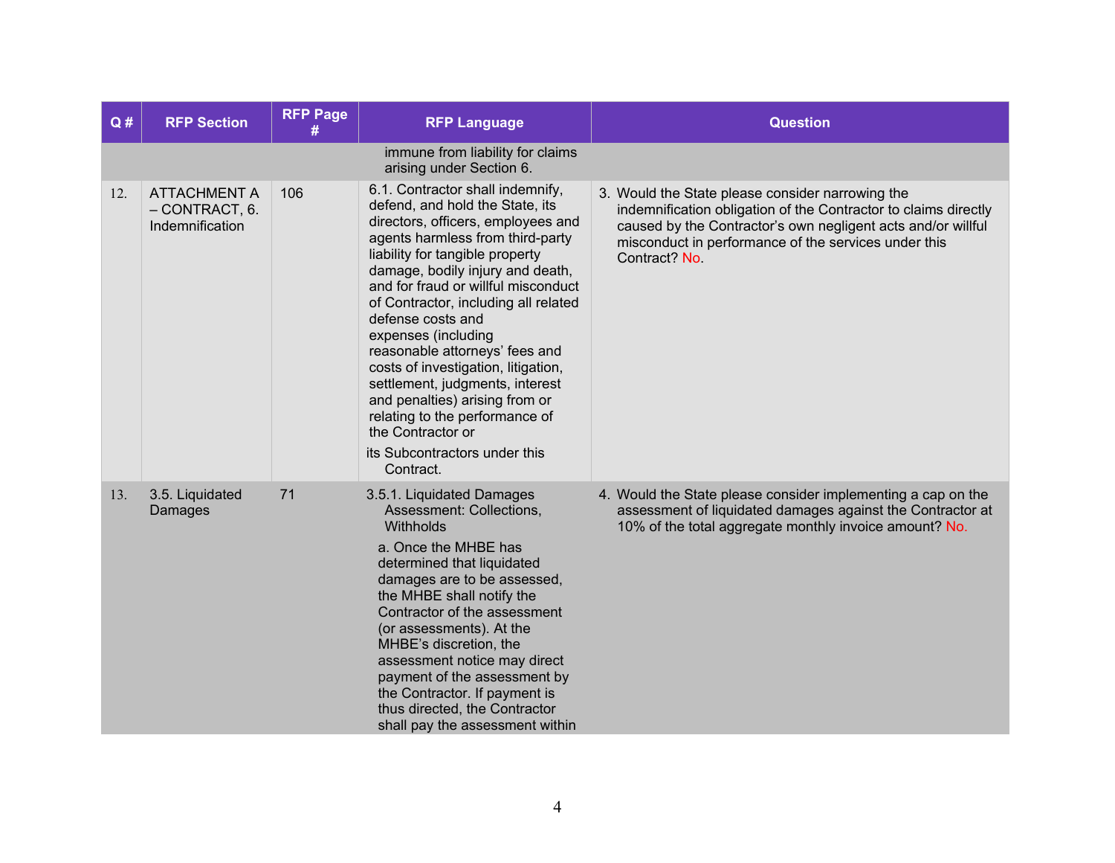| Q#  | <b>RFP Section</b>                                       | <b>RFP Page</b> | <b>RFP Language</b>                                                                                                                                                                                                                                                                                                                                                                                                                                                                                                                                                                                | <b>Question</b>                                                                                                                                                                                                                                              |
|-----|----------------------------------------------------------|-----------------|----------------------------------------------------------------------------------------------------------------------------------------------------------------------------------------------------------------------------------------------------------------------------------------------------------------------------------------------------------------------------------------------------------------------------------------------------------------------------------------------------------------------------------------------------------------------------------------------------|--------------------------------------------------------------------------------------------------------------------------------------------------------------------------------------------------------------------------------------------------------------|
|     |                                                          |                 | immune from liability for claims<br>arising under Section 6.                                                                                                                                                                                                                                                                                                                                                                                                                                                                                                                                       |                                                                                                                                                                                                                                                              |
| 12. | <b>ATTACHMENT A</b><br>- CONTRACT, 6.<br>Indemnification | 106             | 6.1. Contractor shall indemnify,<br>defend, and hold the State, its<br>directors, officers, employees and<br>agents harmless from third-party<br>liability for tangible property<br>damage, bodily injury and death,<br>and for fraud or willful misconduct<br>of Contractor, including all related<br>defense costs and<br>expenses (including<br>reasonable attorneys' fees and<br>costs of investigation, litigation,<br>settlement, judgments, interest<br>and penalties) arising from or<br>relating to the performance of<br>the Contractor or<br>its Subcontractors under this<br>Contract. | 3. Would the State please consider narrowing the<br>indemnification obligation of the Contractor to claims directly<br>caused by the Contractor's own negligent acts and/or willful<br>misconduct in performance of the services under this<br>Contract? No. |
| 13. | 3.5. Liquidated<br>Damages                               | 71              | 3.5.1. Liquidated Damages<br>Assessment: Collections,<br>Withholds<br>a. Once the MHBE has<br>determined that liquidated<br>damages are to be assessed,<br>the MHBE shall notify the<br>Contractor of the assessment<br>(or assessments). At the<br>MHBE's discretion, the<br>assessment notice may direct<br>payment of the assessment by<br>the Contractor. If payment is<br>thus directed, the Contractor<br>shall pay the assessment within                                                                                                                                                    | 4. Would the State please consider implementing a cap on the<br>assessment of liquidated damages against the Contractor at<br>10% of the total aggregate monthly invoice amount? No.                                                                         |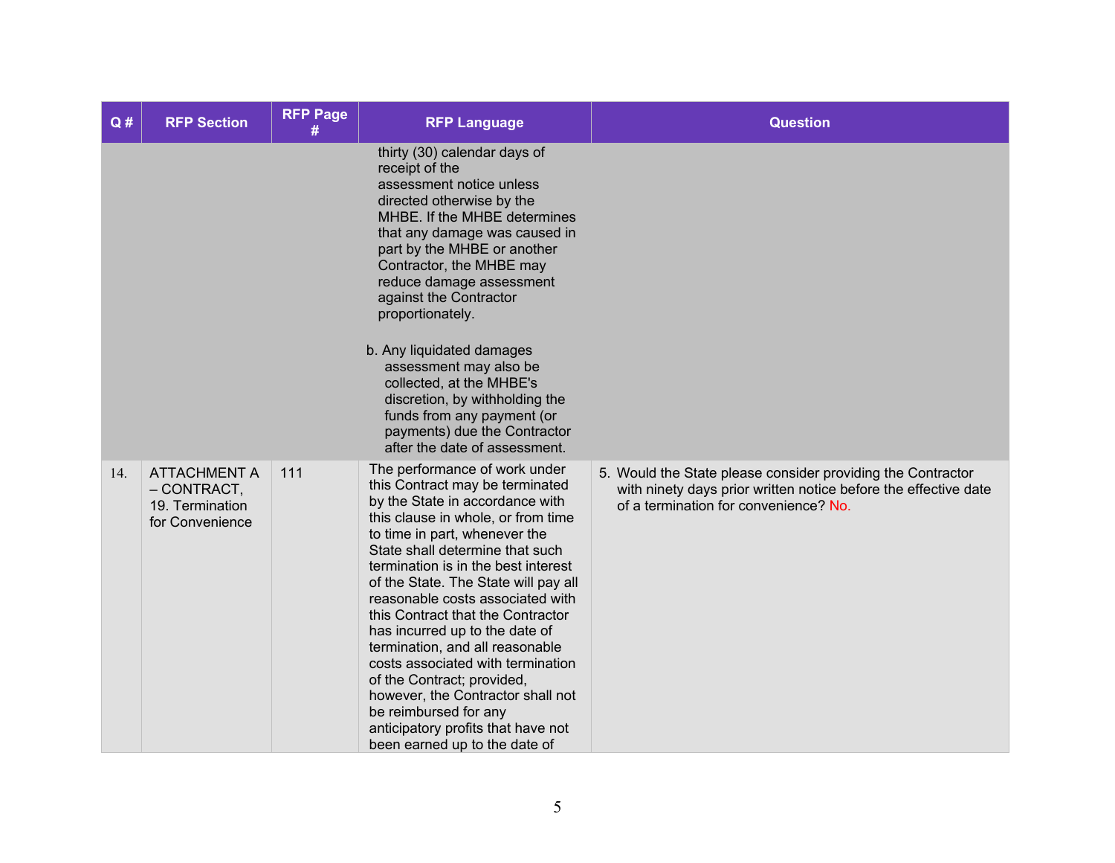| Q#  | <b>RFP Section</b>                                                         | <b>RFP Page</b><br># | <b>RFP Language</b>                                                                                                                                                                                                                                                                                                                                                                                                                                                                                                                                                                                                                                | <b>Question</b>                                                                                                                                                         |
|-----|----------------------------------------------------------------------------|----------------------|----------------------------------------------------------------------------------------------------------------------------------------------------------------------------------------------------------------------------------------------------------------------------------------------------------------------------------------------------------------------------------------------------------------------------------------------------------------------------------------------------------------------------------------------------------------------------------------------------------------------------------------------------|-------------------------------------------------------------------------------------------------------------------------------------------------------------------------|
|     |                                                                            |                      | thirty (30) calendar days of<br>receipt of the<br>assessment notice unless<br>directed otherwise by the<br>MHBE. If the MHBE determines<br>that any damage was caused in<br>part by the MHBE or another<br>Contractor, the MHBE may<br>reduce damage assessment<br>against the Contractor<br>proportionately.<br>b. Any liquidated damages<br>assessment may also be<br>collected, at the MHBE's<br>discretion, by withholding the<br>funds from any payment (or<br>payments) due the Contractor<br>after the date of assessment.                                                                                                                  |                                                                                                                                                                         |
| 14. | <b>ATTACHMENT A</b><br>$-$ CONTRACT,<br>19. Termination<br>for Convenience | 111                  | The performance of work under<br>this Contract may be terminated<br>by the State in accordance with<br>this clause in whole, or from time<br>to time in part, whenever the<br>State shall determine that such<br>termination is in the best interest<br>of the State. The State will pay all<br>reasonable costs associated with<br>this Contract that the Contractor<br>has incurred up to the date of<br>termination, and all reasonable<br>costs associated with termination<br>of the Contract; provided,<br>however, the Contractor shall not<br>be reimbursed for any<br>anticipatory profits that have not<br>been earned up to the date of | 5. Would the State please consider providing the Contractor<br>with ninety days prior written notice before the effective date<br>of a termination for convenience? No. |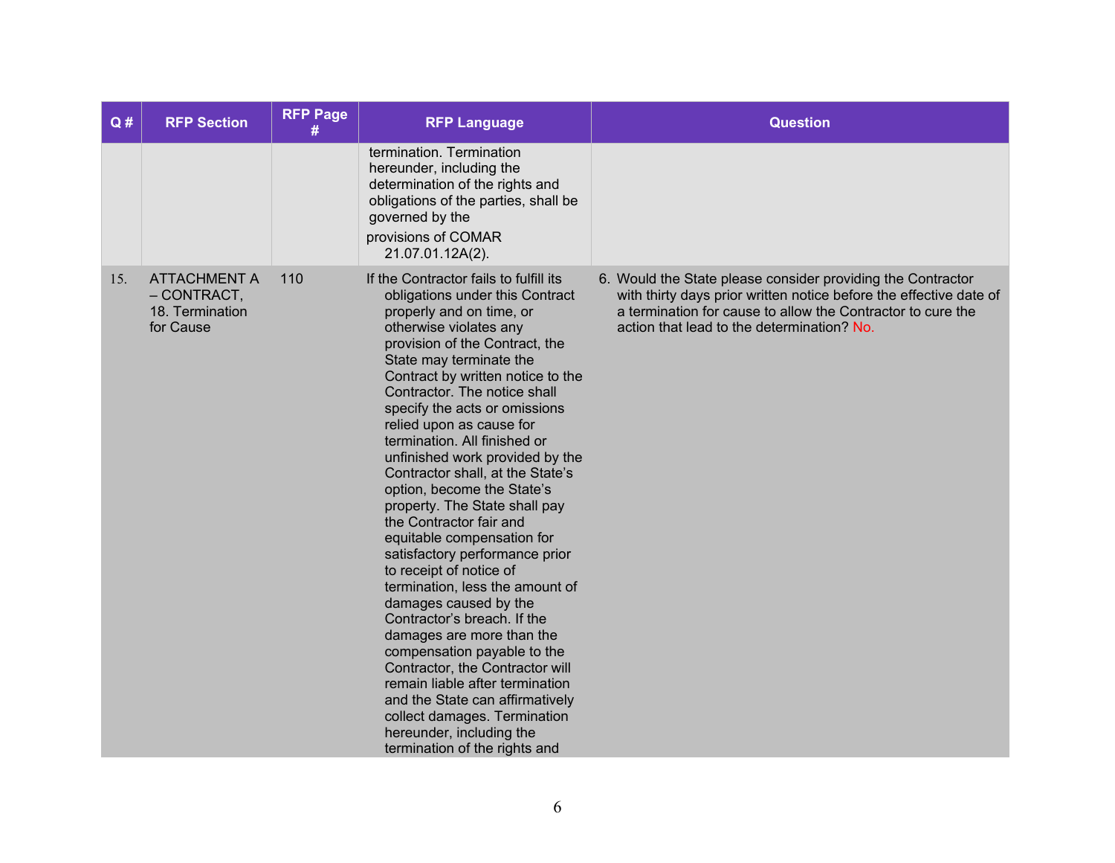| Q#  | <b>RFP Section</b>                                                   | <b>RFP Page</b><br># | <b>RFP Language</b>                                                                                                                                                                                                                                                                                                                                                                                                                                                                                                                                                                                                                                                                                                                                                                                                                                                                                                                                                                     | <b>Question</b>                                                                                                                                                                                                                                |
|-----|----------------------------------------------------------------------|----------------------|-----------------------------------------------------------------------------------------------------------------------------------------------------------------------------------------------------------------------------------------------------------------------------------------------------------------------------------------------------------------------------------------------------------------------------------------------------------------------------------------------------------------------------------------------------------------------------------------------------------------------------------------------------------------------------------------------------------------------------------------------------------------------------------------------------------------------------------------------------------------------------------------------------------------------------------------------------------------------------------------|------------------------------------------------------------------------------------------------------------------------------------------------------------------------------------------------------------------------------------------------|
|     |                                                                      |                      | termination. Termination<br>hereunder, including the<br>determination of the rights and<br>obligations of the parties, shall be<br>governed by the<br>provisions of COMAR<br>21.07.01.12A(2).                                                                                                                                                                                                                                                                                                                                                                                                                                                                                                                                                                                                                                                                                                                                                                                           |                                                                                                                                                                                                                                                |
| 15. | <b>ATTACHMENT A</b><br>$-$ CONTRACT,<br>18. Termination<br>for Cause | 110                  | If the Contractor fails to fulfill its<br>obligations under this Contract<br>properly and on time, or<br>otherwise violates any<br>provision of the Contract, the<br>State may terminate the<br>Contract by written notice to the<br>Contractor. The notice shall<br>specify the acts or omissions<br>relied upon as cause for<br>termination. All finished or<br>unfinished work provided by the<br>Contractor shall, at the State's<br>option, become the State's<br>property. The State shall pay<br>the Contractor fair and<br>equitable compensation for<br>satisfactory performance prior<br>to receipt of notice of<br>termination, less the amount of<br>damages caused by the<br>Contractor's breach. If the<br>damages are more than the<br>compensation payable to the<br>Contractor, the Contractor will<br>remain liable after termination<br>and the State can affirmatively<br>collect damages. Termination<br>hereunder, including the<br>termination of the rights and | 6. Would the State please consider providing the Contractor<br>with thirty days prior written notice before the effective date of<br>a termination for cause to allow the Contractor to cure the<br>action that lead to the determination? No. |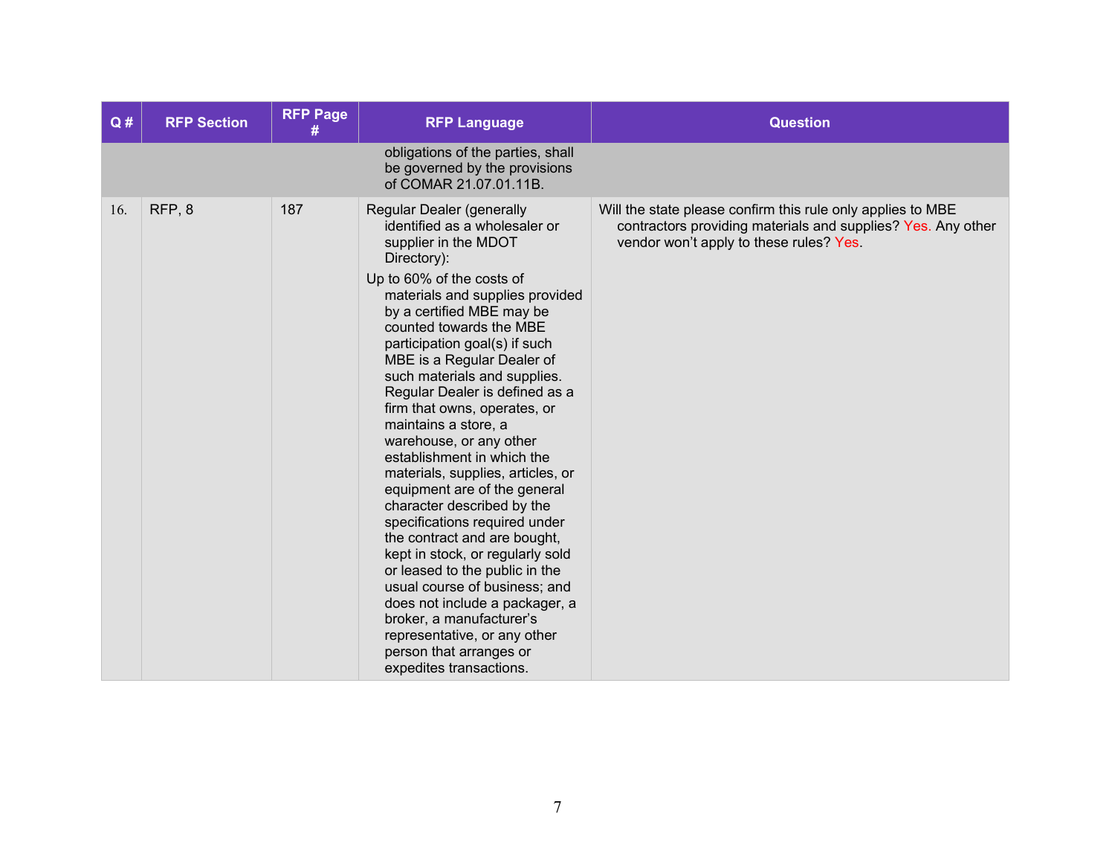| Q#  | <b>RFP Section</b> | <b>RFP Page</b><br># | <b>RFP Language</b>                                                                                                                                                                                                                                                                                                                                                                                                                                                                                                                                                                                                                                                                                                                                                                                                                                                                                        | <b>Question</b>                                                                                                                                                        |
|-----|--------------------|----------------------|------------------------------------------------------------------------------------------------------------------------------------------------------------------------------------------------------------------------------------------------------------------------------------------------------------------------------------------------------------------------------------------------------------------------------------------------------------------------------------------------------------------------------------------------------------------------------------------------------------------------------------------------------------------------------------------------------------------------------------------------------------------------------------------------------------------------------------------------------------------------------------------------------------|------------------------------------------------------------------------------------------------------------------------------------------------------------------------|
|     |                    |                      | obligations of the parties, shall<br>be governed by the provisions<br>of COMAR 21.07.01.11B.                                                                                                                                                                                                                                                                                                                                                                                                                                                                                                                                                                                                                                                                                                                                                                                                               |                                                                                                                                                                        |
| 16. | RFP <sub>,8</sub>  | 187                  | Regular Dealer (generally<br>identified as a wholesaler or<br>supplier in the MDOT<br>Directory):<br>Up to 60% of the costs of<br>materials and supplies provided<br>by a certified MBE may be<br>counted towards the MBE<br>participation goal(s) if such<br>MBE is a Regular Dealer of<br>such materials and supplies.<br>Regular Dealer is defined as a<br>firm that owns, operates, or<br>maintains a store, a<br>warehouse, or any other<br>establishment in which the<br>materials, supplies, articles, or<br>equipment are of the general<br>character described by the<br>specifications required under<br>the contract and are bought,<br>kept in stock, or regularly sold<br>or leased to the public in the<br>usual course of business; and<br>does not include a packager, a<br>broker, a manufacturer's<br>representative, or any other<br>person that arranges or<br>expedites transactions. | Will the state please confirm this rule only applies to MBE<br>contractors providing materials and supplies? Yes. Any other<br>vendor won't apply to these rules? Yes. |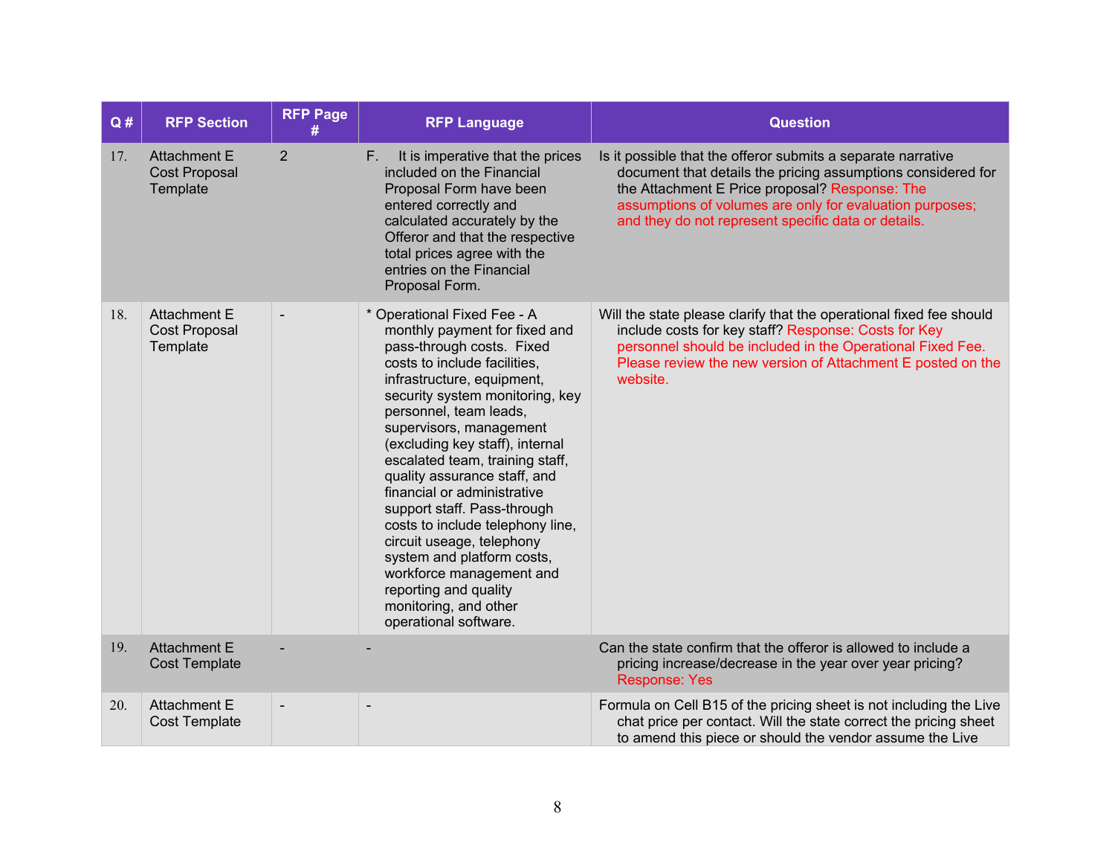| Q#  | <b>RFP Section</b>                                      | <b>RFP Page</b> | <b>RFP Language</b>                                                                                                                                                                                                                                                                                                                                                                                                                                                                                                                                                                                                       | <b>Question</b>                                                                                                                                                                                                                                                                                   |
|-----|---------------------------------------------------------|-----------------|---------------------------------------------------------------------------------------------------------------------------------------------------------------------------------------------------------------------------------------------------------------------------------------------------------------------------------------------------------------------------------------------------------------------------------------------------------------------------------------------------------------------------------------------------------------------------------------------------------------------------|---------------------------------------------------------------------------------------------------------------------------------------------------------------------------------------------------------------------------------------------------------------------------------------------------|
| 17. | <b>Attachment E</b><br><b>Cost Proposal</b><br>Template | $\overline{2}$  | It is imperative that the prices<br>F.<br>included on the Financial<br>Proposal Form have been<br>entered correctly and<br>calculated accurately by the<br>Offeror and that the respective<br>total prices agree with the<br>entries on the Financial<br>Proposal Form.                                                                                                                                                                                                                                                                                                                                                   | Is it possible that the offeror submits a separate narrative<br>document that details the pricing assumptions considered for<br>the Attachment E Price proposal? Response: The<br>assumptions of volumes are only for evaluation purposes;<br>and they do not represent specific data or details. |
| 18. | <b>Attachment E</b><br><b>Cost Proposal</b><br>Template |                 | * Operational Fixed Fee - A<br>monthly payment for fixed and<br>pass-through costs. Fixed<br>costs to include facilities,<br>infrastructure, equipment,<br>security system monitoring, key<br>personnel, team leads,<br>supervisors, management<br>(excluding key staff), internal<br>escalated team, training staff,<br>quality assurance staff, and<br>financial or administrative<br>support staff. Pass-through<br>costs to include telephony line,<br>circuit useage, telephony<br>system and platform costs,<br>workforce management and<br>reporting and quality<br>monitoring, and other<br>operational software. | Will the state please clarify that the operational fixed fee should<br>include costs for key staff? Response: Costs for Key<br>personnel should be included in the Operational Fixed Fee.<br>Please review the new version of Attachment E posted on the<br>website.                              |
| 19. | <b>Attachment E</b><br><b>Cost Template</b>             |                 |                                                                                                                                                                                                                                                                                                                                                                                                                                                                                                                                                                                                                           | Can the state confirm that the offeror is allowed to include a<br>pricing increase/decrease in the year over year pricing?<br><b>Response: Yes</b>                                                                                                                                                |
| 20. | <b>Attachment E</b><br><b>Cost Template</b>             |                 | $\overline{\phantom{0}}$                                                                                                                                                                                                                                                                                                                                                                                                                                                                                                                                                                                                  | Formula on Cell B15 of the pricing sheet is not including the Live<br>chat price per contact. Will the state correct the pricing sheet<br>to amend this piece or should the vendor assume the Live                                                                                                |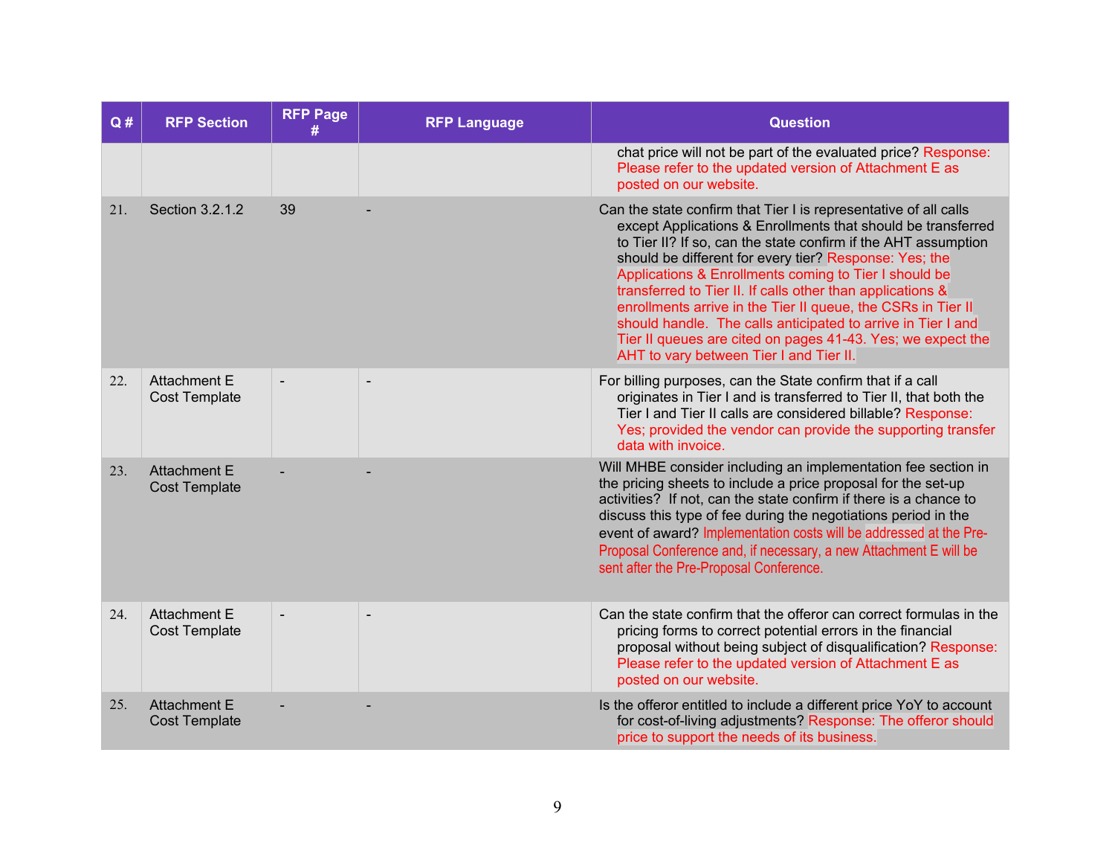| Q#  | <b>RFP Section</b>                          | <b>RFP Page</b> | <b>RFP Language</b> | <b>Question</b>                                                                                                                                                                                                                                                                                                                                                                                                                                                                                                                                                                                                               |
|-----|---------------------------------------------|-----------------|---------------------|-------------------------------------------------------------------------------------------------------------------------------------------------------------------------------------------------------------------------------------------------------------------------------------------------------------------------------------------------------------------------------------------------------------------------------------------------------------------------------------------------------------------------------------------------------------------------------------------------------------------------------|
|     |                                             |                 |                     | chat price will not be part of the evaluated price? Response:<br>Please refer to the updated version of Attachment E as<br>posted on our website.                                                                                                                                                                                                                                                                                                                                                                                                                                                                             |
| 21. | Section 3.2.1.2                             | 39              |                     | Can the state confirm that Tier I is representative of all calls<br>except Applications & Enrollments that should be transferred<br>to Tier II? If so, can the state confirm if the AHT assumption<br>should be different for every tier? Response: Yes; the<br>Applications & Enrollments coming to Tier I should be<br>transferred to Tier II. If calls other than applications &<br>enrollments arrive in the Tier II queue, the CSRs in Tier II<br>should handle. The calls anticipated to arrive in Tier I and<br>Tier II queues are cited on pages 41-43. Yes; we expect the<br>AHT to vary between Tier I and Tier II. |
| 22. | <b>Attachment E</b><br><b>Cost Template</b> | $\blacksquare$  | $\blacksquare$      | For billing purposes, can the State confirm that if a call<br>originates in Tier I and is transferred to Tier II, that both the<br>Tier I and Tier II calls are considered billable? Response:<br>Yes; provided the vendor can provide the supporting transfer<br>data with invoice.                                                                                                                                                                                                                                                                                                                                          |
| 23. | <b>Attachment E</b><br><b>Cost Template</b> |                 |                     | Will MHBE consider including an implementation fee section in<br>the pricing sheets to include a price proposal for the set-up<br>activities? If not, can the state confirm if there is a chance to<br>discuss this type of fee during the negotiations period in the<br>event of award? Implementation costs will be addressed at the Pre-<br>Proposal Conference and, if necessary, a new Attachment E will be<br>sent after the Pre-Proposal Conference.                                                                                                                                                                   |
| 24. | <b>Attachment E</b><br><b>Cost Template</b> | $\blacksquare$  |                     | Can the state confirm that the offeror can correct formulas in the<br>pricing forms to correct potential errors in the financial<br>proposal without being subject of disqualification? Response:<br>Please refer to the updated version of Attachment E as<br>posted on our website.                                                                                                                                                                                                                                                                                                                                         |
| 25. | <b>Attachment E</b><br><b>Cost Template</b> |                 |                     | Is the offeror entitled to include a different price YoY to account<br>for cost-of-living adjustments? Response: The offeror should<br>price to support the needs of its business.                                                                                                                                                                                                                                                                                                                                                                                                                                            |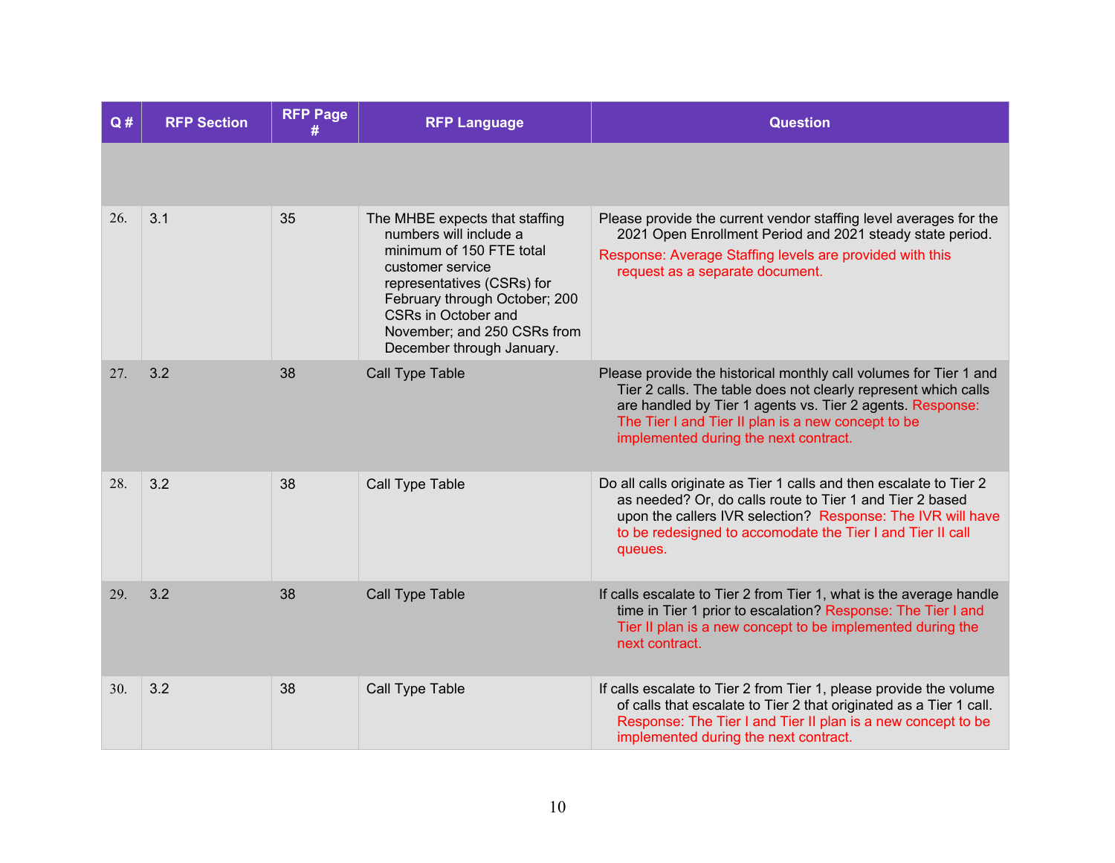| Q#  | <b>RFP Section</b> | <b>RFP Page</b> | <b>RFP Language</b>                                                                                                                                                                                                                                               | <b>Question</b>                                                                                                                                                                                                                                                                                 |
|-----|--------------------|-----------------|-------------------------------------------------------------------------------------------------------------------------------------------------------------------------------------------------------------------------------------------------------------------|-------------------------------------------------------------------------------------------------------------------------------------------------------------------------------------------------------------------------------------------------------------------------------------------------|
|     |                    |                 |                                                                                                                                                                                                                                                                   |                                                                                                                                                                                                                                                                                                 |
| 26. | 3.1                | 35              | The MHBE expects that staffing<br>numbers will include a<br>minimum of 150 FTE total<br>customer service<br>representatives (CSRs) for<br>February through October; 200<br><b>CSRs in October and</b><br>November; and 250 CSRs from<br>December through January. | Please provide the current vendor staffing level averages for the<br>2021 Open Enrollment Period and 2021 steady state period.<br>Response: Average Staffing levels are provided with this<br>request as a separate document.                                                                   |
| 27. | 3.2                | 38              | <b>Call Type Table</b>                                                                                                                                                                                                                                            | Please provide the historical monthly call volumes for Tier 1 and<br>Tier 2 calls. The table does not clearly represent which calls<br>are handled by Tier 1 agents vs. Tier 2 agents. Response:<br>The Tier I and Tier II plan is a new concept to be<br>implemented during the next contract. |
| 28. | 3.2                | 38              | Call Type Table                                                                                                                                                                                                                                                   | Do all calls originate as Tier 1 calls and then escalate to Tier 2<br>as needed? Or, do calls route to Tier 1 and Tier 2 based<br>upon the callers IVR selection? Response: The IVR will have<br>to be redesigned to accomodate the Tier I and Tier II call<br>queues.                          |
| 29. | 3.2                | 38              | Call Type Table                                                                                                                                                                                                                                                   | If calls escalate to Tier 2 from Tier 1, what is the average handle<br>time in Tier 1 prior to escalation? Response: The Tier I and<br>Tier II plan is a new concept to be implemented during the<br>next contract.                                                                             |
| 30. | 3.2                | 38              | Call Type Table                                                                                                                                                                                                                                                   | If calls escalate to Tier 2 from Tier 1, please provide the volume<br>of calls that escalate to Tier 2 that originated as a Tier 1 call.<br>Response: The Tier I and Tier II plan is a new concept to be<br>implemented during the next contract.                                               |